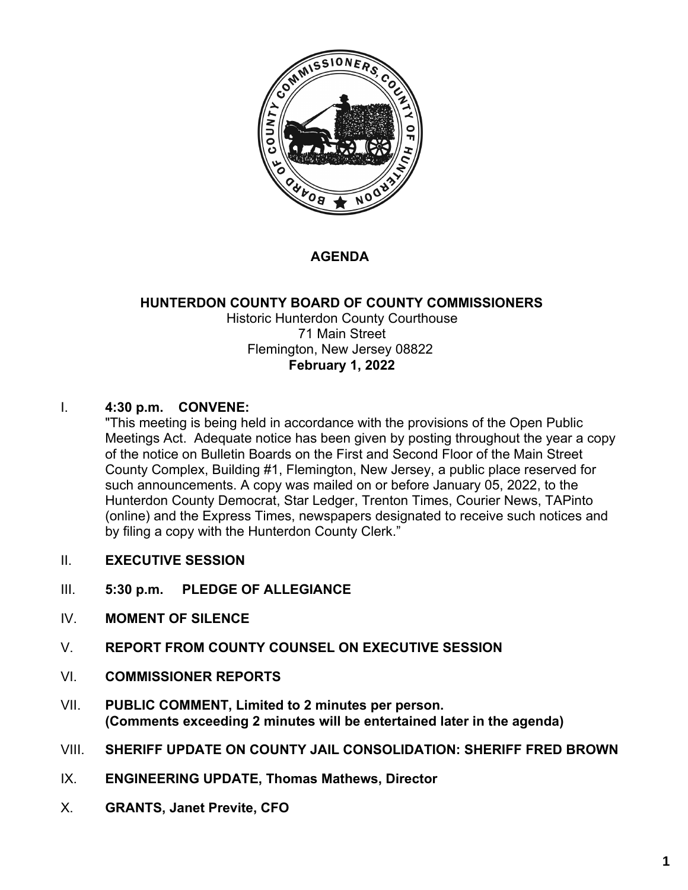

### **AGENDA**

#### **HUNTERDON COUNTY BOARD OF COUNTY COMMISSIONERS** Historic Hunterdon County Courthouse 71 Main Street Flemington, New Jersey 08822 **February 1, 2022**

#### I. **4:30 p.m. CONVENE:**

"This meeting is being held in accordance with the provisions of the Open Public Meetings Act. Adequate notice has been given by posting throughout the year a copy of the notice on Bulletin Boards on the First and Second Floor of the Main Street County Complex, Building #1, Flemington, New Jersey, a public place reserved for such announcements. A copy was mailed on or before January 05, 2022, to the Hunterdon County Democrat, Star Ledger, Trenton Times, Courier News, TAPinto (online) and the Express Times, newspapers designated to receive such notices and by filing a copy with the Hunterdon County Clerk."

- II. **EXECUTIVE SESSION**
- III. **5:30 p.m. PLEDGE OF ALLEGIANCE**
- IV. **MOMENT OF SILENCE**
- V. **REPORT FROM COUNTY COUNSEL ON EXECUTIVE SESSION**
- VI. **COMMISSIONER REPORTS**
- VII. **PUBLIC COMMENT, Limited to 2 minutes per person. (Comments exceeding 2 minutes will be entertained later in the agenda)**
- VIII. **SHERIFF UPDATE ON COUNTY JAIL CONSOLIDATION: SHERIFF FRED BROWN**
- IX. **ENGINEERING UPDATE, Thomas Mathews, Director**
- X. **GRANTS, Janet Previte, CFO**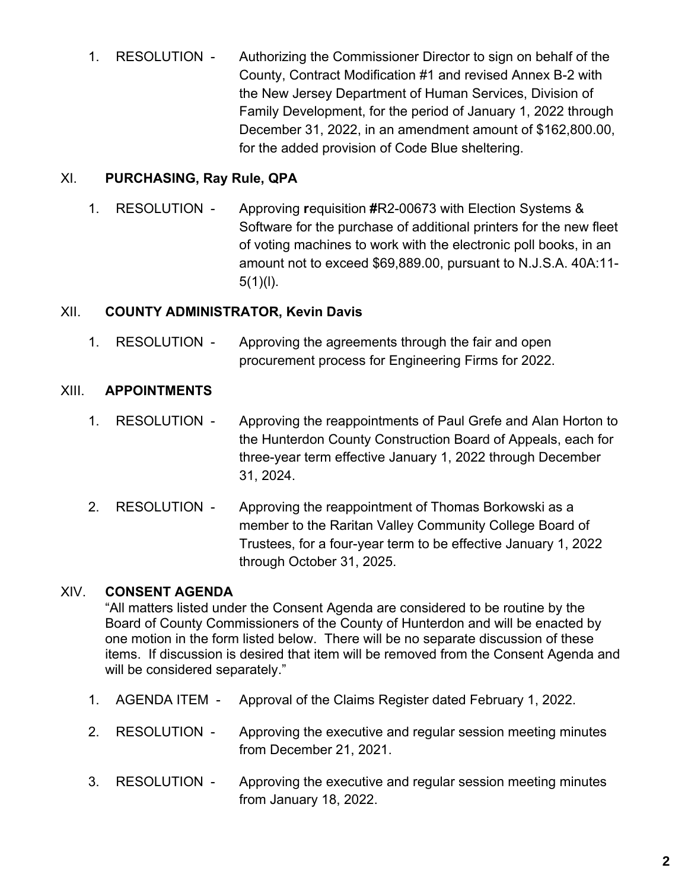1. RESOLUTION - Authorizing the Commissioner Director to sign on behalf of the County, Contract Modification #1 and revised Annex B-2 with the New Jersey Department of Human Services, Division of Family Development, for the period of January 1, 2022 through December 31, 2022, in an amendment amount of \$162,800.00, for the added provision of Code Blue sheltering.

#### XI. **PURCHASING, Ray Rule, QPA**

1. RESOLUTION - Approving **r**equisition **#**R2-00673 with Election Systems & Software for the purchase of additional printers for the new fleet of voting machines to work with the electronic poll books, in an amount not to exceed \$69,889.00, pursuant to N.J.S.A. 40A:11-  $5(1)(l)$ .

#### XII. **COUNTY ADMINISTRATOR, Kevin Davis**

1. RESOLUTION - Approving the agreements through the fair and open procurement process for Engineering Firms for 2022.

#### XIII. **APPOINTMENTS**

- 1. RESOLUTION Approving the reappointments of Paul Grefe and Alan Horton to the Hunterdon County Construction Board of Appeals, each for three-year term effective January 1, 2022 through December 31, 2024.
- 2. RESOLUTION Approving the reappointment of Thomas Borkowski as a member to the Raritan Valley Community College Board of Trustees, for a four-year term to be effective January 1, 2022 through October 31, 2025.

### XIV. **CONSENT AGENDA**

"All matters listed under the Consent Agenda are considered to be routine by the Board of County Commissioners of the County of Hunterdon and will be enacted by one motion in the form listed below. There will be no separate discussion of these items. If discussion is desired that item will be removed from the Consent Agenda and will be considered separately."

- 1. AGENDA ITEM Approval of the Claims Register dated February 1, 2022.
- 2. RESOLUTION Approving the executive and regular session meeting minutes from December 21, 2021.
- 3. RESOLUTION Approving the executive and regular session meeting minutes from January 18, 2022.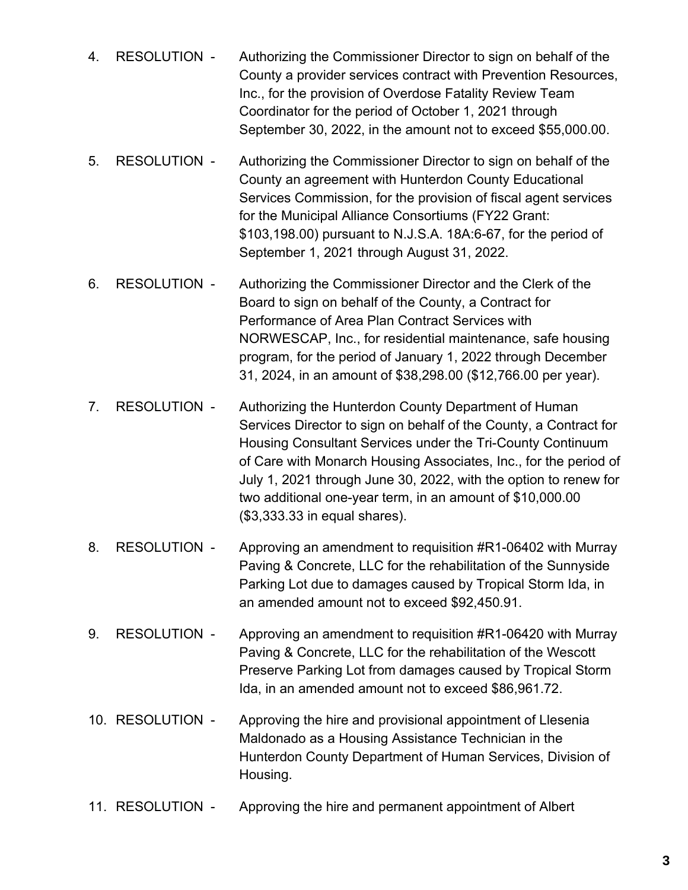- 4. RESOLUTION Authorizing the Commissioner Director to sign on behalf of the County a provider services contract with Prevention Resources, Inc., for the provision of Overdose Fatality Review Team Coordinator for the period of October 1, 2021 through September 30, 2022, in the amount not to exceed \$55,000.00.
- 5. RESOLUTION Authorizing the Commissioner Director to sign on behalf of the County an agreement with Hunterdon County Educational Services Commission, for the provision of fiscal agent services for the Municipal Alliance Consortiums (FY22 Grant: \$103,198.00) pursuant to N.J.S.A. 18A:6-67, for the period of September 1, 2021 through August 31, 2022.
- 6. RESOLUTION Authorizing the Commissioner Director and the Clerk of the Board to sign on behalf of the County, a Contract for Performance of Area Plan Contract Services with NORWESCAP, Inc., for residential maintenance, safe housing program, for the period of January 1, 2022 through December 31, 2024, in an amount of \$38,298.00 (\$12,766.00 per year).
- 7. RESOLUTION Authorizing the Hunterdon County Department of Human Services Director to sign on behalf of the County, a Contract for Housing Consultant Services under the Tri-County Continuum of Care with Monarch Housing Associates, Inc., for the period of July 1, 2021 through June 30, 2022, with the option to renew for two additional one-year term, in an amount of \$10,000.00 (\$3,333.33 in equal shares).
- 8. RESOLUTION Approving an amendment to requisition #R1-06402 with Murray Paving & Concrete, LLC for the rehabilitation of the Sunnyside Parking Lot due to damages caused by Tropical Storm Ida, in an amended amount not to exceed \$92,450.91.
- 9. RESOLUTION Approving an amendment to requisition #R1-06420 with Murray Paving & Concrete, LLC for the rehabilitation of the Wescott Preserve Parking Lot from damages caused by Tropical Storm Ida, in an amended amount not to exceed \$86,961.72.
- 10. RESOLUTION Approving the hire and provisional appointment of Llesenia Maldonado as a Housing Assistance Technician in the Hunterdon County Department of Human Services, Division of Housing.
- 11. RESOLUTION Approving the hire and permanent appointment of Albert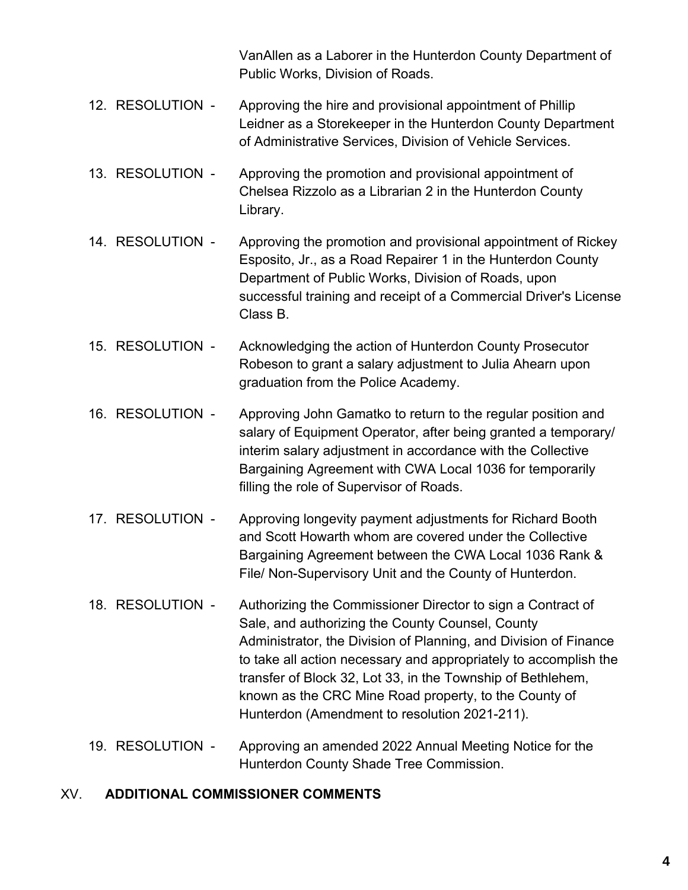VanAllen as a Laborer in the Hunterdon County Department of Public Works, Division of Roads.

- 12. RESOLUTION Approving the hire and provisional appointment of Phillip Leidner as a Storekeeper in the Hunterdon County Department of Administrative Services, Division of Vehicle Services.
- 13. RESOLUTION Approving the promotion and provisional appointment of Chelsea Rizzolo as a Librarian 2 in the Hunterdon County Library.
- 14. RESOLUTION Approving the promotion and provisional appointment of Rickey Esposito, Jr., as a Road Repairer 1 in the Hunterdon County Department of Public Works, Division of Roads, upon successful training and receipt of a Commercial Driver's License Class B.
- 15. RESOLUTION Acknowledging the action of Hunterdon County Prosecutor Robeson to grant a salary adjustment to Julia Ahearn upon graduation from the Police Academy.
- 16. RESOLUTION Approving John Gamatko to return to the regular position and salary of Equipment Operator, after being granted a temporary/ interim salary adjustment in accordance with the Collective Bargaining Agreement with CWA Local 1036 for temporarily filling the role of Supervisor of Roads.
- 17. RESOLUTION Approving longevity payment adjustments for Richard Booth and Scott Howarth whom are covered under the Collective Bargaining Agreement between the CWA Local 1036 Rank & File/ Non-Supervisory Unit and the County of Hunterdon.
- 18. RESOLUTION Authorizing the Commissioner Director to sign a Contract of Sale, and authorizing the County Counsel, County Administrator, the Division of Planning, and Division of Finance to take all action necessary and appropriately to accomplish the transfer of Block 32, Lot 33, in the Township of Bethlehem, known as the CRC Mine Road property, to the County of Hunterdon (Amendment to resolution 2021-211).
- 19. RESOLUTION Approving an amended 2022 Annual Meeting Notice for the Hunterdon County Shade Tree Commission.

### XV. **ADDITIONAL COMMISSIONER COMMENTS**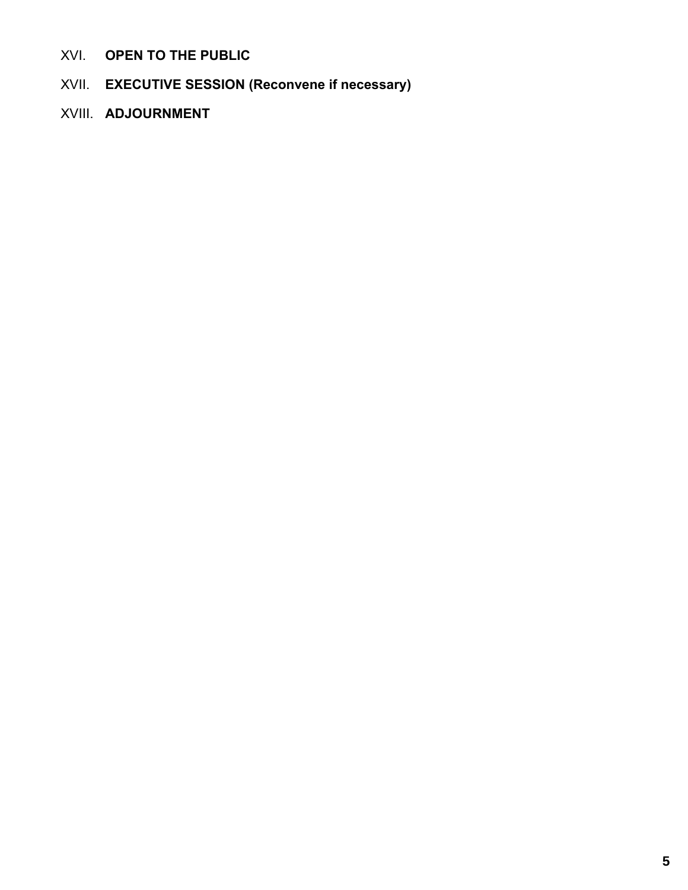- XVI. **OPEN TO THE PUBLIC**
- XVII. **EXECUTIVE SESSION (Reconvene if necessary)**
- XVIII. **ADJOURNMENT**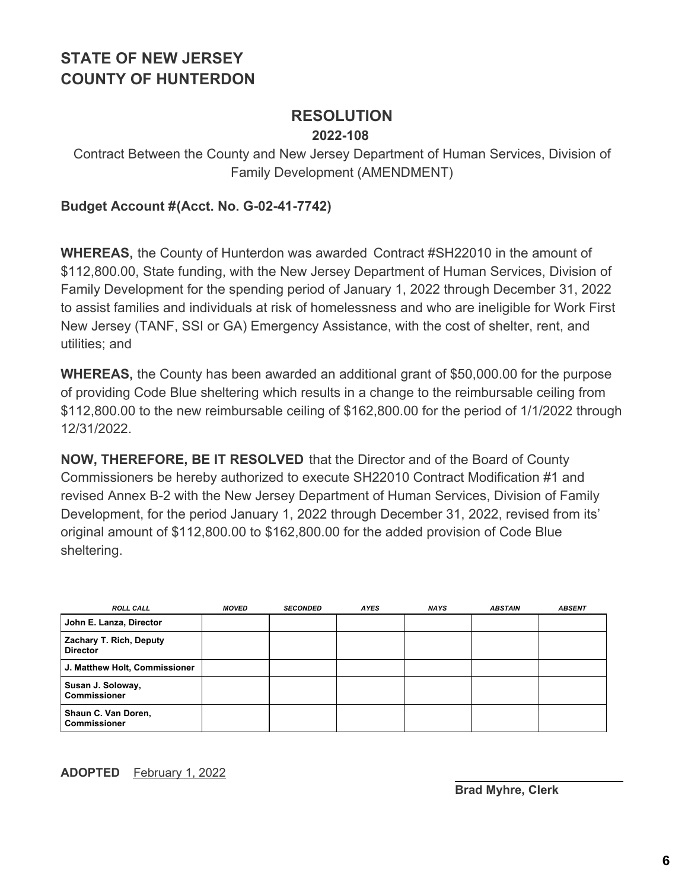## **RESOLUTION**

#### **2022-108**

Contract Between the County and New Jersey Department of Human Services, Division of Family Development (AMENDMENT)

#### **Budget Account #(Acct. No. G-02-41-7742)**

**WHEREAS,** the County of Hunterdon was awarded Contract #SH22010 in the amount of \$112,800.00, State funding, with the New Jersey Department of Human Services, Division of Family Development for the spending period of January 1, 2022 through December 31, 2022 to assist families and individuals at risk of homelessness and who are ineligible for Work First New Jersey (TANF, SSI or GA) Emergency Assistance, with the cost of shelter, rent, and utilities; and

**WHEREAS,** the County has been awarded an additional grant of \$50,000.00 for the purpose of providing Code Blue sheltering which results in a change to the reimbursable ceiling from \$112,800.00 to the new reimbursable ceiling of \$162,800.00 for the period of 1/1/2022 through 12/31/2022.

**NOW, THEREFORE, BE IT RESOLVED** that the Director and of the Board of County Commissioners be hereby authorized to execute SH22010 Contract Modification #1 and revised Annex B-2 with the New Jersey Department of Human Services, Division of Family Development, for the period January 1, 2022 through December 31, 2022, revised from its' original amount of \$112,800.00 to \$162,800.00 for the added provision of Code Blue sheltering.

| <b>ROLL CALL</b>                           | <b>MOVED</b> | <b>SECONDED</b> | <b>AYES</b> | <b>NAYS</b> | <b>ABSTAIN</b> | <b>ABSENT</b> |
|--------------------------------------------|--------------|-----------------|-------------|-------------|----------------|---------------|
| John E. Lanza, Director                    |              |                 |             |             |                |               |
| Zachary T. Rich, Deputy<br><b>Director</b> |              |                 |             |             |                |               |
| J. Matthew Holt, Commissioner              |              |                 |             |             |                |               |
| Susan J. Soloway,<br><b>Commissioner</b>   |              |                 |             |             |                |               |
| Shaun C. Van Doren,<br><b>Commissioner</b> |              |                 |             |             |                |               |

#### **ADOPTED** February 1, 2022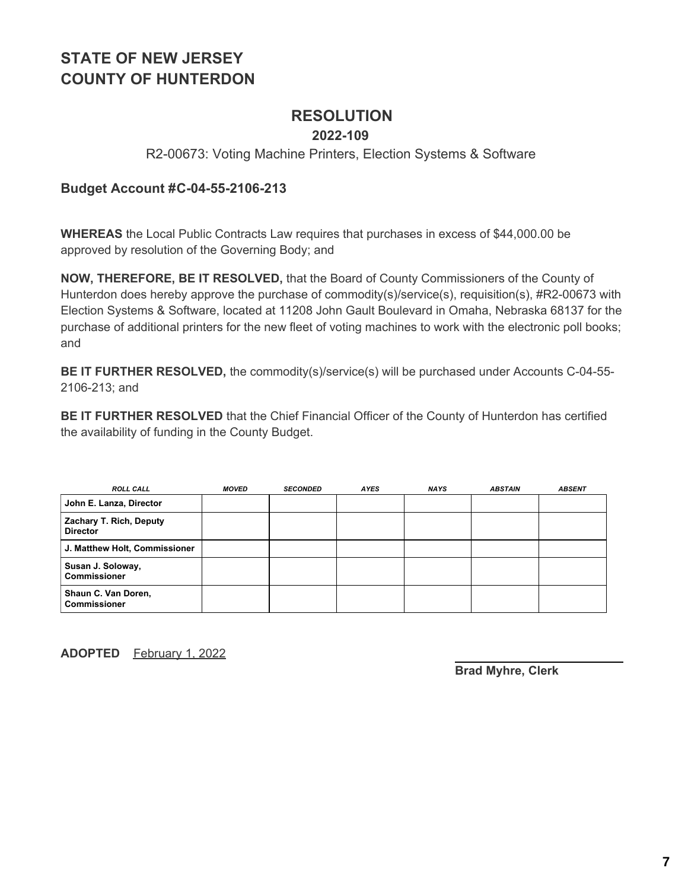### **RESOLUTION**

#### **2022-109**

#### R2-00673: Voting Machine Printers, Election Systems & Software

#### **Budget Account #C-04-55-2106-213**

**WHEREAS** the Local Public Contracts Law requires that purchases in excess of \$44,000.00 be approved by resolution of the Governing Body; and

**NOW, THEREFORE, BE IT RESOLVED,** that the Board of County Commissioners of the County of Hunterdon does hereby approve the purchase of commodity(s)/service(s), requisition(s), #R2-00673 with Election Systems & Software, located at 11208 John Gault Boulevard in Omaha, Nebraska 68137 for the purchase of additional printers for the new fleet of voting machines to work with the electronic poll books; and

**BE IT FURTHER RESOLVED,** the commodity(s)/service(s) will be purchased under Accounts C-04-55- 2106-213; and

**BE IT FURTHER RESOLVED** that the Chief Financial Officer of the County of Hunterdon has certified the availability of funding in the County Budget.

| <b>ROLL CALL</b>                           | <b>MOVED</b> | <b>SECONDED</b> | <b>AYES</b> | <b>NAYS</b> | <b>ABSTAIN</b> | <b>ABSENT</b> |
|--------------------------------------------|--------------|-----------------|-------------|-------------|----------------|---------------|
| John E. Lanza, Director                    |              |                 |             |             |                |               |
| Zachary T. Rich, Deputy<br><b>Director</b> |              |                 |             |             |                |               |
| J. Matthew Holt, Commissioner              |              |                 |             |             |                |               |
| Susan J. Soloway,<br><b>Commissioner</b>   |              |                 |             |             |                |               |
| Shaun C. Van Doren,<br><b>Commissioner</b> |              |                 |             |             |                |               |

**ADOPTED** February 1, 2022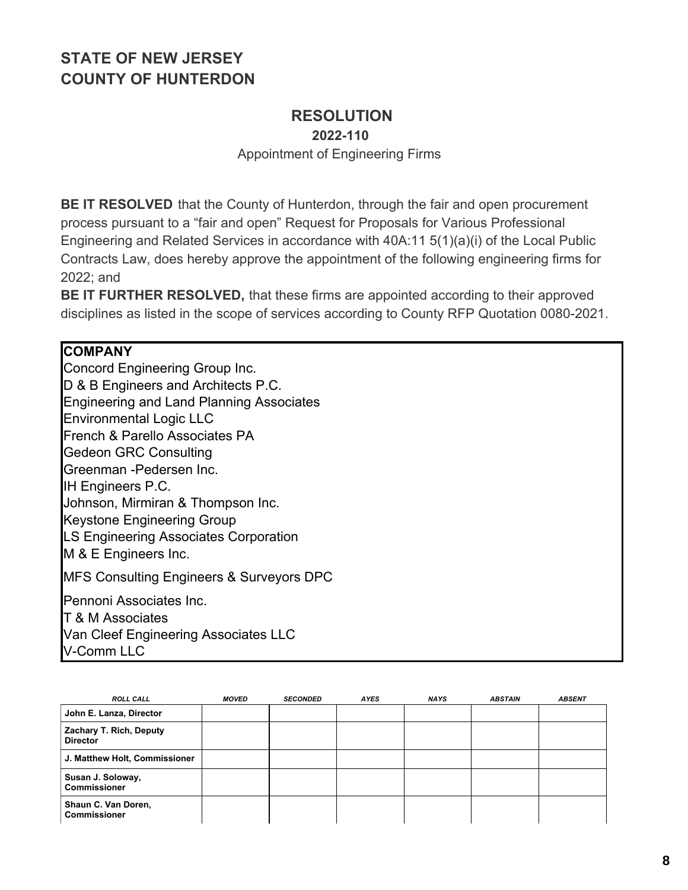## **RESOLUTION**

**2022-110**

Appointment of Engineering Firms

**BE IT RESOLVED** that the County of Hunterdon, through the fair and open procurement process pursuant to a "fair and open" Request for Proposals for Various Professional Engineering and Related Services in accordance with 40A:11 5(1)(a)(i) of the Local Public Contracts Law, does hereby approve the appointment of the following engineering firms for 2022; and

**BE IT FURTHER RESOLVED,** that these firms are appointed according to their approved disciplines as listed in the scope of services according to County RFP Quotation 0080-2021.

#### **COMPANY**

Concord Engineering Group Inc. D & B Engineers and Architects P.C. Engineering and Land Planning Associates Environmental Logic LLC French & Parello Associates PA Gedeon GRC Consulting Greenman -Pedersen Inc. IH Engineers P.C. Johnson, Mirmiran & Thompson Inc. Keystone Engineering Group LS Engineering Associates Corporation M & E Engineers Inc. MFS Consulting Engineers & Surveyors DPC Pennoni Associates Inc. T & M Associates Van Cleef Engineering Associates LLC V-Comm LLC

| <b>ROLL CALL</b>                           | <b>MOVED</b> | <b>SECONDED</b> | <b>AYES</b> | <b>NAYS</b> | <b>ABSTAIN</b> | <b>ABSENT</b> |
|--------------------------------------------|--------------|-----------------|-------------|-------------|----------------|---------------|
| John E. Lanza, Director                    |              |                 |             |             |                |               |
| Zachary T. Rich, Deputy<br><b>Director</b> |              |                 |             |             |                |               |
| J. Matthew Holt, Commissioner              |              |                 |             |             |                |               |
| Susan J. Soloway,<br><b>Commissioner</b>   |              |                 |             |             |                |               |
| Shaun C. Van Doren,<br><b>Commissioner</b> |              |                 |             |             |                |               |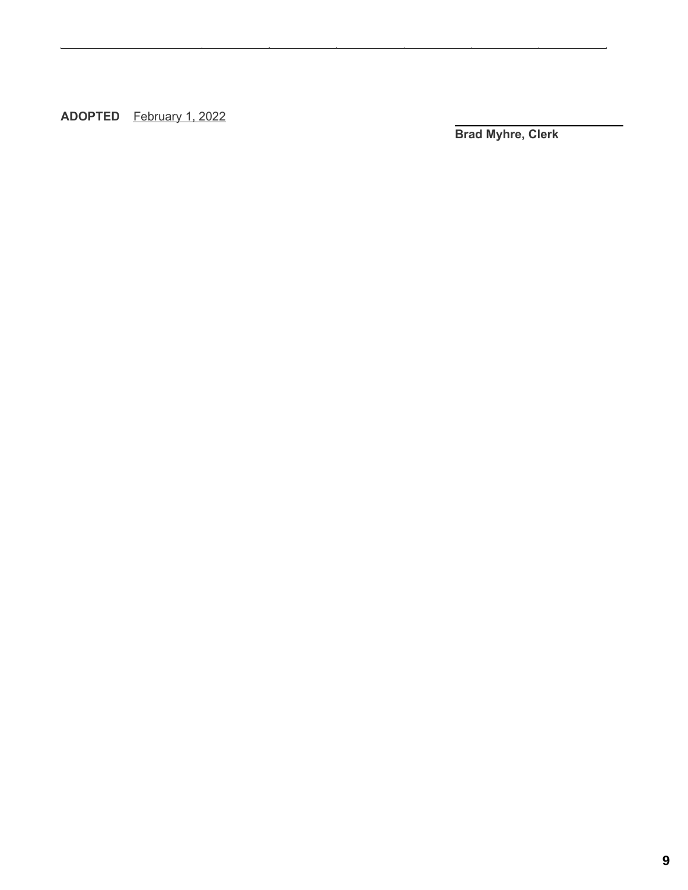**ADOPTED** February 1, 2022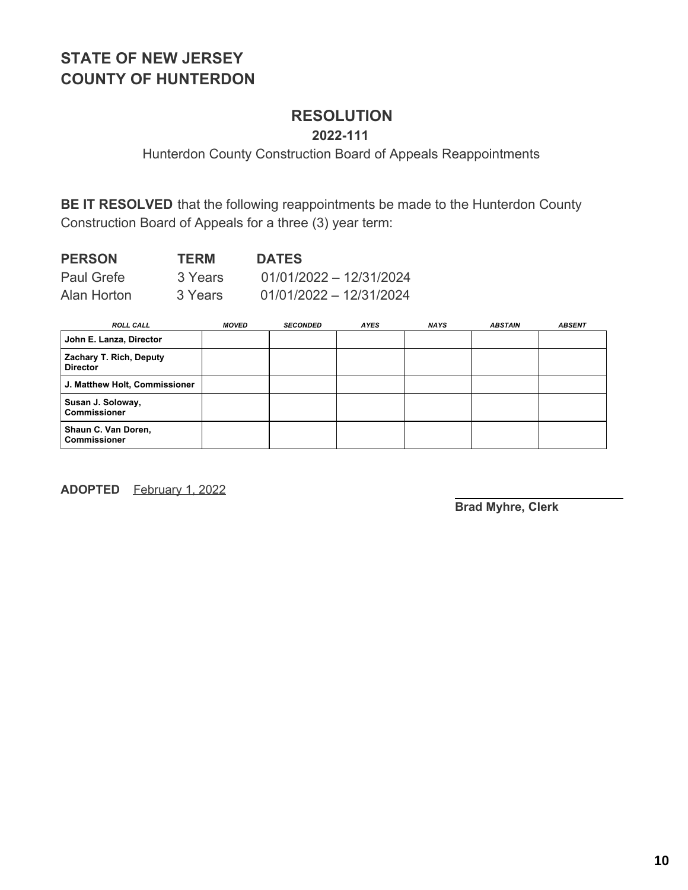### **RESOLUTION**

**2022-111**

Hunterdon County Construction Board of Appeals Reappointments

**BE IT RESOLVED** that the following reappointments be made to the Hunterdon County Construction Board of Appeals for a three (3) year term:

| <b>PERSON</b>     | <b>TERM</b> | <b>DATES</b>              |
|-------------------|-------------|---------------------------|
| <b>Paul Grefe</b> | 3 Years     | $01/01/2022 - 12/31/2024$ |
| Alan Horton       | 3 Years     | $01/01/2022 - 12/31/2024$ |

| <b>ROLL CALL</b>                           | <b>MOVED</b> | <b>SECONDED</b> | <b>AYES</b> | <b>NAYS</b> | <b>ABSTAIN</b> | <b>ABSENT</b> |
|--------------------------------------------|--------------|-----------------|-------------|-------------|----------------|---------------|
| John E. Lanza, Director                    |              |                 |             |             |                |               |
| Zachary T. Rich, Deputy<br><b>Director</b> |              |                 |             |             |                |               |
| J. Matthew Holt, Commissioner              |              |                 |             |             |                |               |
| Susan J. Soloway,<br><b>Commissioner</b>   |              |                 |             |             |                |               |
| Shaun C. Van Doren,<br><b>Commissioner</b> |              |                 |             |             |                |               |

**ADOPTED** February 1, 2022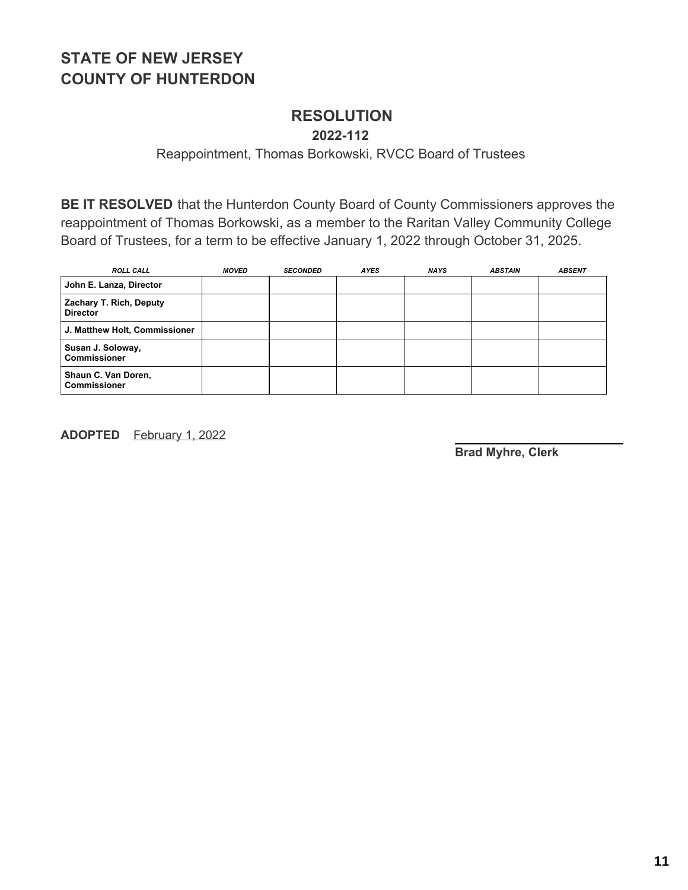### **RESOLUTION**

**2022-112**

Reappointment, Thomas Borkowski, RVCC Board of Trustees

**BE IT RESOLVED** that the Hunterdon County Board of County Commissioners approves the reappointment of Thomas Borkowski, as a member to the Raritan Valley Community College Board of Trustees, for a term to be effective January 1, 2022 through October 31, 2025.

| <b>ROLL CALL</b>                           | <b>MOVED</b> | <b>SECONDED</b> | <b>AYES</b> | <b>NAYS</b> | <b>ABSTAIN</b> | <b>ABSENT</b> |
|--------------------------------------------|--------------|-----------------|-------------|-------------|----------------|---------------|
| John E. Lanza, Director                    |              |                 |             |             |                |               |
| Zachary T. Rich, Deputy<br><b>Director</b> |              |                 |             |             |                |               |
| J. Matthew Holt, Commissioner              |              |                 |             |             |                |               |
| Susan J. Soloway,<br><b>Commissioner</b>   |              |                 |             |             |                |               |
| Shaun C. Van Doren,<br><b>Commissioner</b> |              |                 |             |             |                |               |

**ADOPTED** February 1, 2022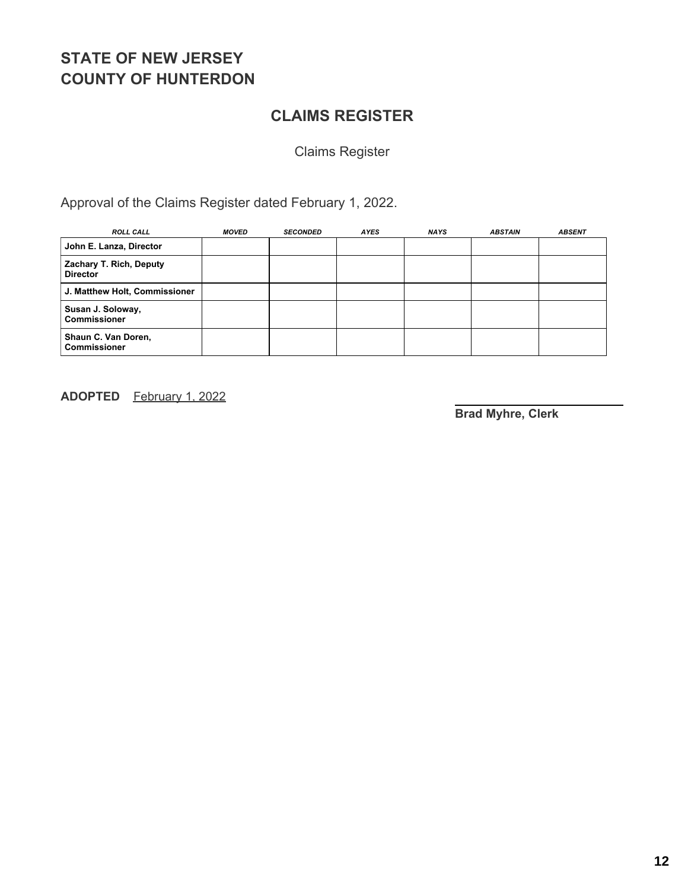### **CLAIMS REGISTER**

Claims Register

Approval of the Claims Register dated February 1, 2022.

| <b>ROLL CALL</b>                           | <b>MOVED</b> | <b>SECONDED</b> | <b>AYES</b> | <b>NAYS</b> | <b>ABSTAIN</b> | <b>ABSENT</b> |
|--------------------------------------------|--------------|-----------------|-------------|-------------|----------------|---------------|
| John E. Lanza, Director                    |              |                 |             |             |                |               |
| Zachary T. Rich, Deputy<br><b>Director</b> |              |                 |             |             |                |               |
| J. Matthew Holt, Commissioner              |              |                 |             |             |                |               |
| Susan J. Soloway,<br><b>Commissioner</b>   |              |                 |             |             |                |               |
| Shaun C. Van Doren,<br><b>Commissioner</b> |              |                 |             |             |                |               |

**ADOPTED** February 1, 2022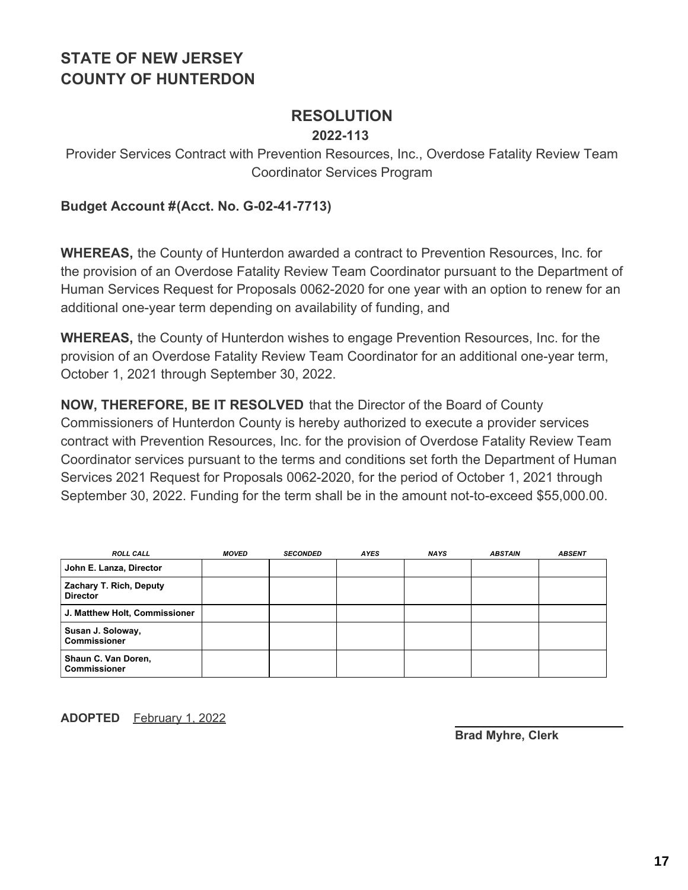### **RESOLUTION**

#### **2022-113**

Provider Services Contract with Prevention Resources, Inc., Overdose Fatality Review Team Coordinator Services Program

#### **Budget Account #(Acct. No. G-02-41-7713)**

**WHEREAS,** the County of Hunterdon awarded a contract to Prevention Resources, Inc. for the provision of an Overdose Fatality Review Team Coordinator pursuant to the Department of Human Services Request for Proposals 0062-2020 for one year with an option to renew for an additional one-year term depending on availability of funding, and

**WHEREAS,** the County of Hunterdon wishes to engage Prevention Resources, Inc. for the provision of an Overdose Fatality Review Team Coordinator for an additional one-year term, October 1, 2021 through September 30, 2022.

**NOW, THEREFORE, BE IT RESOLVED** that the Director of the Board of County Commissioners of Hunterdon County is hereby authorized to execute a provider services contract with Prevention Resources, Inc. for the provision of Overdose Fatality Review Team Coordinator services pursuant to the terms and conditions set forth the Department of Human Services 2021 Request for Proposals 0062-2020, for the period of October 1, 2021 through September 30, 2022. Funding for the term shall be in the amount not-to-exceed \$55,000.00.

| <b>ROLL CALL</b>                           | <b>MOVED</b> | <b>SECONDED</b> | <b>AYES</b> | <b>NAYS</b> | <b>ABSTAIN</b> | <b>ABSENT</b> |
|--------------------------------------------|--------------|-----------------|-------------|-------------|----------------|---------------|
| John E. Lanza, Director                    |              |                 |             |             |                |               |
| Zachary T. Rich, Deputy<br><b>Director</b> |              |                 |             |             |                |               |
| J. Matthew Holt, Commissioner              |              |                 |             |             |                |               |
| Susan J. Soloway,<br><b>Commissioner</b>   |              |                 |             |             |                |               |
| Shaun C. Van Doren,<br><b>Commissioner</b> |              |                 |             |             |                |               |

**ADOPTED** February 1, 2022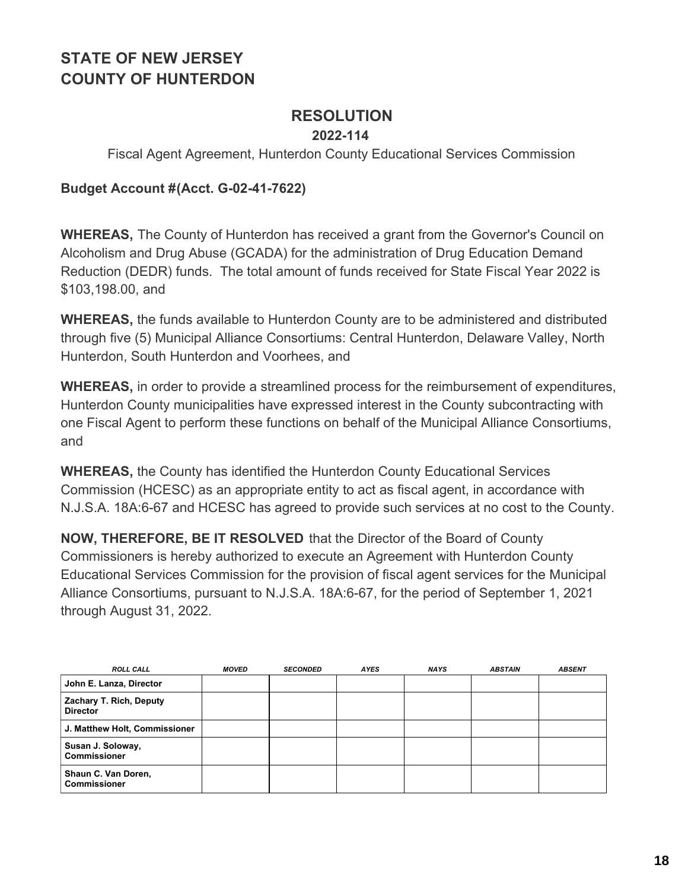### **RESOLUTION**

### **2022-114**

Fiscal Agent Agreement, Hunterdon County Educational Services Commission

#### **Budget Account #(Acct. G-02-41-7622)**

**WHEREAS,** The County of Hunterdon has received a grant from the Governor's Council on Alcoholism and Drug Abuse (GCADA) for the administration of Drug Education Demand Reduction (DEDR) funds. The total amount of funds received for State Fiscal Year 2022 is \$103,198.00, and

**WHEREAS,** the funds available to Hunterdon County are to be administered and distributed through five (5) Municipal Alliance Consortiums: Central Hunterdon, Delaware Valley, North Hunterdon, South Hunterdon and Voorhees, and

**WHEREAS,** in order to provide a streamlined process for the reimbursement of expenditures, Hunterdon County municipalities have expressed interest in the County subcontracting with one Fiscal Agent to perform these functions on behalf of the Municipal Alliance Consortiums, and

**WHEREAS,** the County has identified the Hunterdon County Educational Services Commission (HCESC) as an appropriate entity to act as fiscal agent, in accordance with N.J.S.A. 18A:6-67 and HCESC has agreed to provide such services at no cost to the County.

**NOW, THEREFORE, BE IT RESOLVED** that the Director of the Board of County Commissioners is hereby authorized to execute an Agreement with Hunterdon County Educational Services Commission for the provision of fiscal agent services for the Municipal Alliance Consortiums, pursuant to N.J.S.A. 18A:6-67, for the period of September 1, 2021 through August 31, 2022.

| <b>ROLL CALL</b>                           | <b>MOVED</b> | <b>SECONDED</b> | <b>AYES</b> | <b>NAYS</b> | <b>ABSTAIN</b> | <b>ABSENT</b> |
|--------------------------------------------|--------------|-----------------|-------------|-------------|----------------|---------------|
| John E. Lanza, Director                    |              |                 |             |             |                |               |
| Zachary T. Rich, Deputy<br><b>Director</b> |              |                 |             |             |                |               |
| J. Matthew Holt, Commissioner              |              |                 |             |             |                |               |
| Susan J. Soloway,<br><b>Commissioner</b>   |              |                 |             |             |                |               |
| Shaun C. Van Doren,<br><b>Commissioner</b> |              |                 |             |             |                |               |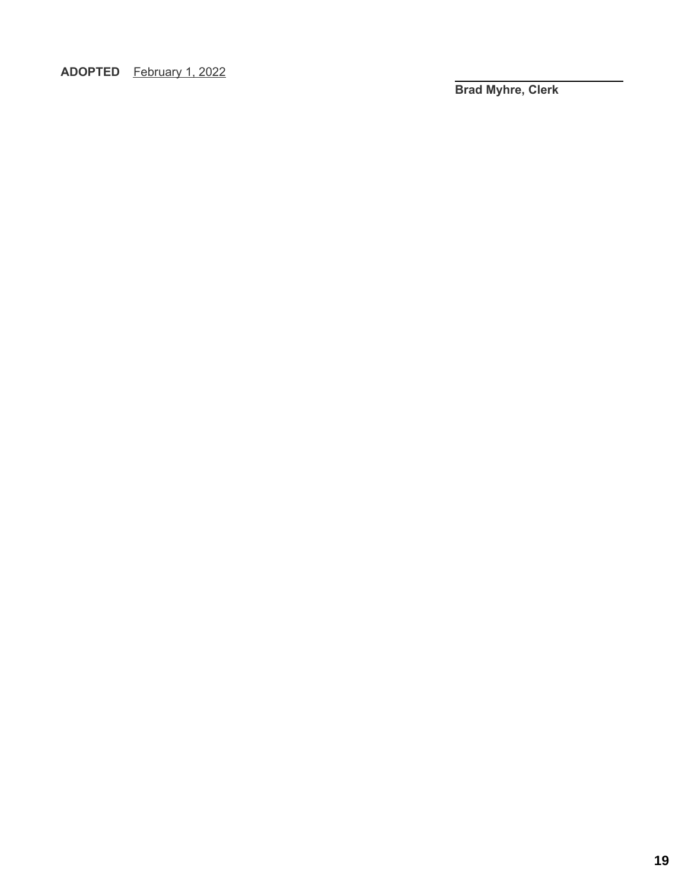**ADOPTED** February 1, 2022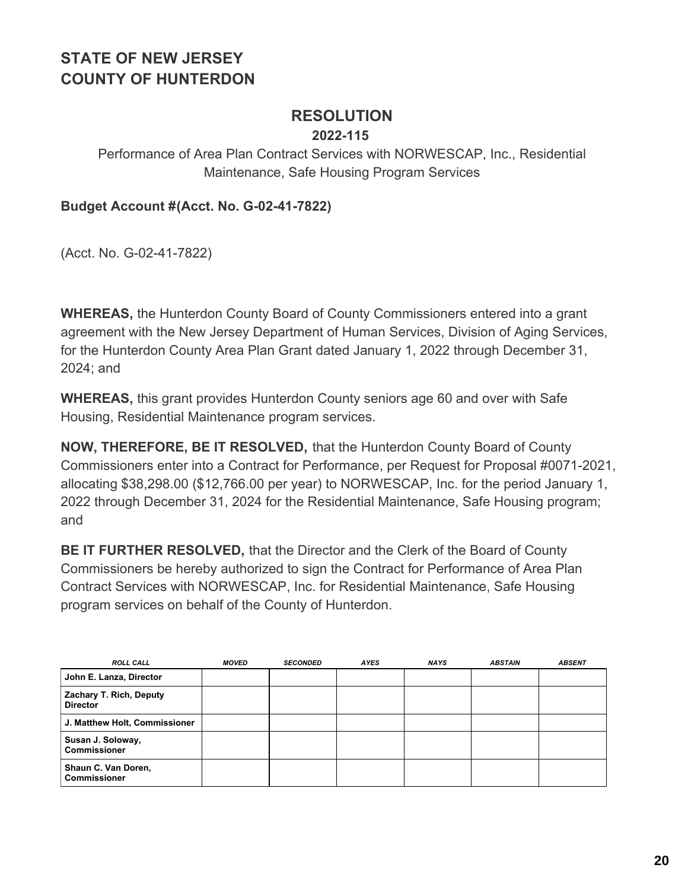### **RESOLUTION**

### **2022-115**

### Performance of Area Plan Contract Services with NORWESCAP, Inc., Residential Maintenance, Safe Housing Program Services

**Budget Account #(Acct. No. G-02-41-7822)**

(Acct. No. G-02-41-7822)

**WHEREAS,** the Hunterdon County Board of County Commissioners entered into a grant agreement with the New Jersey Department of Human Services, Division of Aging Services, for the Hunterdon County Area Plan Grant dated January 1, 2022 through December 31, 2024; and

**WHEREAS,** this grant provides Hunterdon County seniors age 60 and over with Safe Housing, Residential Maintenance program services.

**NOW, THEREFORE, BE IT RESOLVED,** that the Hunterdon County Board of County Commissioners enter into a Contract for Performance, per Request for Proposal #0071-2021, allocating \$38,298.00 (\$12,766.00 per year) to NORWESCAP, Inc. for the period January 1, 2022 through December 31, 2024 for the Residential Maintenance, Safe Housing program; and

**BE IT FURTHER RESOLVED,** that the Director and the Clerk of the Board of County Commissioners be hereby authorized to sign the Contract for Performance of Area Plan Contract Services with NORWESCAP, Inc. for Residential Maintenance, Safe Housing program services on behalf of the County of Hunterdon.

| <b>ROLL CALL</b>                                  | <b>MOVED</b> | <b>SECONDED</b> | <b>AYES</b> | <b>NAYS</b> | <b>ABSTAIN</b> | <b>ABSENT</b> |
|---------------------------------------------------|--------------|-----------------|-------------|-------------|----------------|---------------|
| John E. Lanza, Director                           |              |                 |             |             |                |               |
| <b>Zachary T. Rich, Deputy</b><br><b>Director</b> |              |                 |             |             |                |               |
| J. Matthew Holt, Commissioner                     |              |                 |             |             |                |               |
| Susan J. Soloway,<br><b>Commissioner</b>          |              |                 |             |             |                |               |
| Shaun C. Van Doren,<br>l Commissioner             |              |                 |             |             |                |               |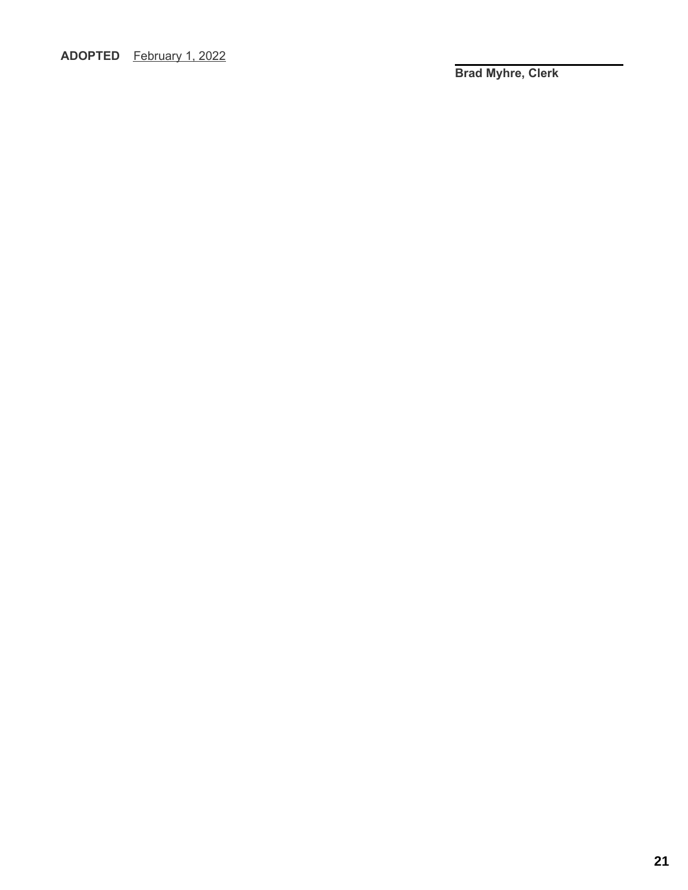**ADOPTED** February 1, 2022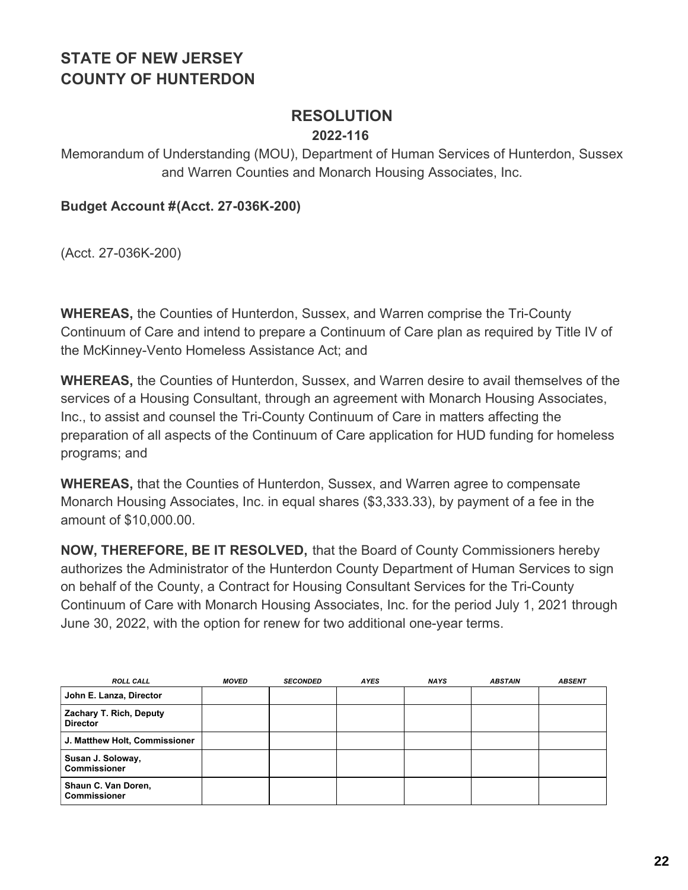# **RESOLUTION**

#### **2022-116**

Memorandum of Understanding (MOU), Department of Human Services of Hunterdon, Sussex and Warren Counties and Monarch Housing Associates, Inc.

**Budget Account #(Acct. 27-036K-200)**

(Acct. 27-036K-200)

**WHEREAS,** the Counties of Hunterdon, Sussex, and Warren comprise the Tri-County Continuum of Care and intend to prepare a Continuum of Care plan as required by Title IV of the McKinney-Vento Homeless Assistance Act; and

**WHEREAS,** the Counties of Hunterdon, Sussex, and Warren desire to avail themselves of the services of a Housing Consultant, through an agreement with Monarch Housing Associates, Inc., to assist and counsel the Tri-County Continuum of Care in matters affecting the preparation of all aspects of the Continuum of Care application for HUD funding for homeless programs; and

**WHEREAS,** that the Counties of Hunterdon, Sussex, and Warren agree to compensate Monarch Housing Associates, Inc. in equal shares (\$3,333.33), by payment of a fee in the amount of \$10,000.00.

**NOW, THEREFORE, BE IT RESOLVED,** that the Board of County Commissioners hereby authorizes the Administrator of the Hunterdon County Department of Human Services to sign on behalf of the County, a Contract for Housing Consultant Services for the Tri-County Continuum of Care with Monarch Housing Associates, Inc. for the period July 1, 2021 through June 30, 2022, with the option for renew for two additional one-year terms.

| <b>ROLL CALL</b>                                  | <b>MOVED</b> | <b>SECONDED</b> | <b>AYES</b> | <b>NAYS</b> | <b>ABSTAIN</b> | <b>ABSENT</b> |
|---------------------------------------------------|--------------|-----------------|-------------|-------------|----------------|---------------|
| John E. Lanza, Director                           |              |                 |             |             |                |               |
| <b>Zachary T. Rich, Deputy</b><br><b>Director</b> |              |                 |             |             |                |               |
| J. Matthew Holt, Commissioner                     |              |                 |             |             |                |               |
| Susan J. Soloway,<br><b>Commissioner</b>          |              |                 |             |             |                |               |
| Shaun C. Van Doren,<br><b>Commissioner</b>        |              |                 |             |             |                |               |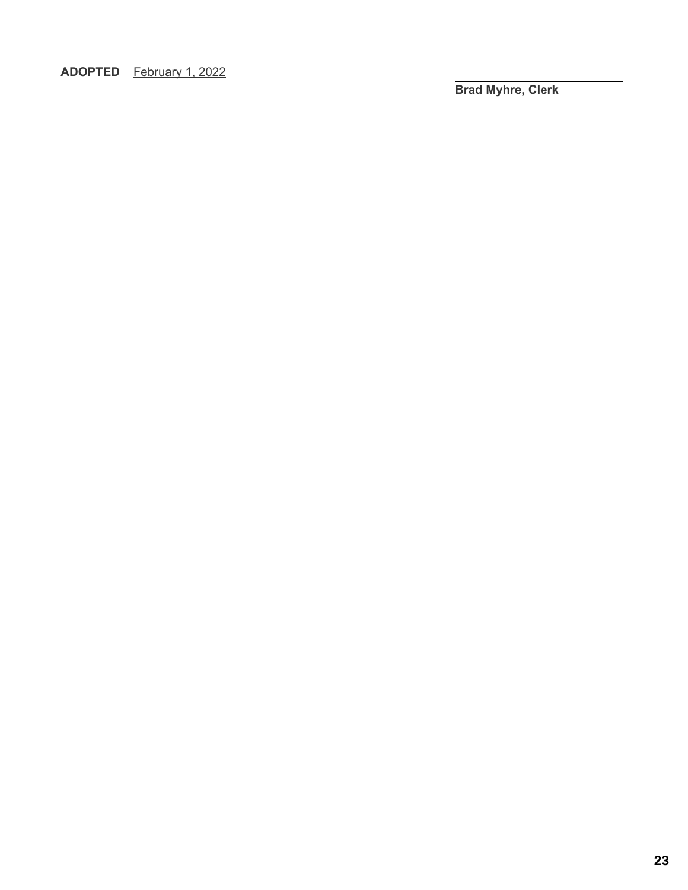**ADOPTED** February 1, 2022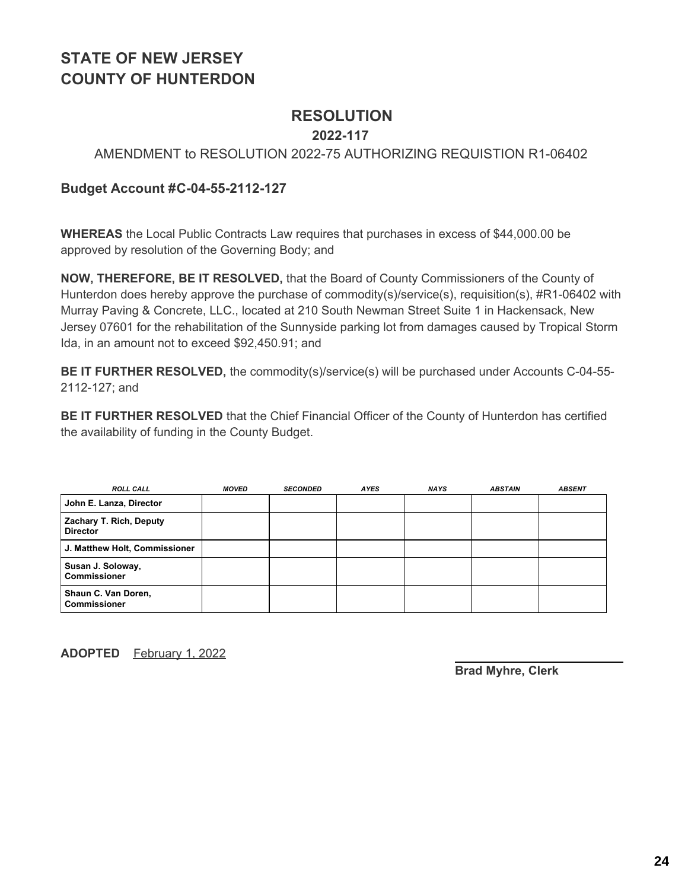### **RESOLUTION**

#### **2022-117**

#### AMENDMENT to RESOLUTION 2022-75 AUTHORIZING REQUISTION R1-06402

#### **Budget Account #C-04-55-2112-127**

**WHEREAS** the Local Public Contracts Law requires that purchases in excess of \$44,000.00 be approved by resolution of the Governing Body; and

**NOW, THEREFORE, BE IT RESOLVED,** that the Board of County Commissioners of the County of Hunterdon does hereby approve the purchase of commodity(s)/service(s), requisition(s), #R1-06402 with Murray Paving & Concrete, LLC., located at 210 South Newman Street Suite 1 in Hackensack, New Jersey 07601 for the rehabilitation of the Sunnyside parking lot from damages caused by Tropical Storm Ida, in an amount not to exceed \$92,450.91; and

**BE IT FURTHER RESOLVED,** the commodity(s)/service(s) will be purchased under Accounts C-04-55- 2112-127; and

**BE IT FURTHER RESOLVED** that the Chief Financial Officer of the County of Hunterdon has certified the availability of funding in the County Budget.

| <b>ROLL CALL</b>                           | <b>MOVED</b> | <b>SECONDED</b> | <b>AYES</b> | <b>NAYS</b> | <b>ABSTAIN</b> | <b>ABSENT</b> |
|--------------------------------------------|--------------|-----------------|-------------|-------------|----------------|---------------|
| John E. Lanza, Director                    |              |                 |             |             |                |               |
| Zachary T. Rich, Deputy<br><b>Director</b> |              |                 |             |             |                |               |
| J. Matthew Holt, Commissioner              |              |                 |             |             |                |               |
| Susan J. Soloway,<br><b>Commissioner</b>   |              |                 |             |             |                |               |
| Shaun C. Van Doren,<br><b>Commissioner</b> |              |                 |             |             |                |               |

**ADOPTED** February 1, 2022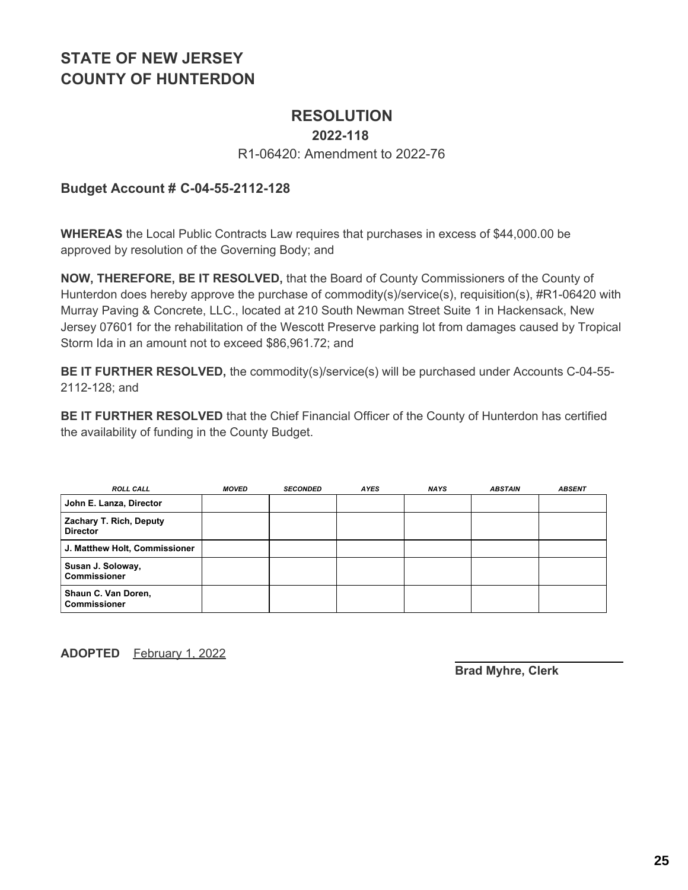### **RESOLUTION**

#### **2022-118**

#### R1-06420: Amendment to 2022-76

#### **Budget Account # C-04-55-2112-128**

**WHEREAS** the Local Public Contracts Law requires that purchases in excess of \$44,000.00 be approved by resolution of the Governing Body; and

**NOW, THEREFORE, BE IT RESOLVED,** that the Board of County Commissioners of the County of Hunterdon does hereby approve the purchase of commodity(s)/service(s), requisition(s), #R1-06420 with Murray Paving & Concrete, LLC., located at 210 South Newman Street Suite 1 in Hackensack, New Jersey 07601 for the rehabilitation of the Wescott Preserve parking lot from damages caused by Tropical Storm Ida in an amount not to exceed \$86,961.72; and

**BE IT FURTHER RESOLVED,** the commodity(s)/service(s) will be purchased under Accounts C-04-55- 2112-128; and

**BE IT FURTHER RESOLVED** that the Chief Financial Officer of the County of Hunterdon has certified the availability of funding in the County Budget.

| <b>ROLL CALL</b>                           | <b>MOVED</b> | <b>SECONDED</b> | <b>AYES</b> | <b>NAYS</b> | <b>ABSTAIN</b> | <b>ABSENT</b> |
|--------------------------------------------|--------------|-----------------|-------------|-------------|----------------|---------------|
| John E. Lanza, Director                    |              |                 |             |             |                |               |
| Zachary T. Rich, Deputy<br><b>Director</b> |              |                 |             |             |                |               |
| J. Matthew Holt, Commissioner              |              |                 |             |             |                |               |
| Susan J. Soloway,<br><b>Commissioner</b>   |              |                 |             |             |                |               |
| Shaun C. Van Doren,<br><b>Commissioner</b> |              |                 |             |             |                |               |

**ADOPTED** February 1, 2022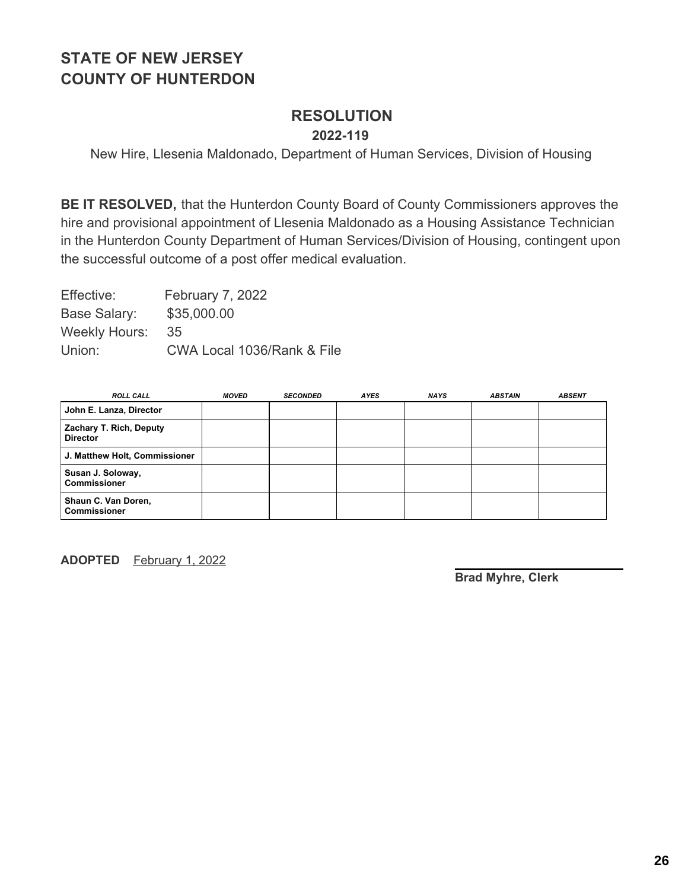#### **RESOLUTION 2022-119**

New Hire, Llesenia Maldonado, Department of Human Services, Division of Housing

**BE IT RESOLVED,** that the Hunterdon County Board of County Commissioners approves the hire and provisional appointment of Llesenia Maldonado as a Housing Assistance Technician in the Hunterdon County Department of Human Services/Division of Housing, contingent upon the successful outcome of a post offer medical evaluation.

| Effective:           | February 7, 2022           |
|----------------------|----------------------------|
| Base Salary:         | \$35,000.00                |
| <b>Weekly Hours:</b> | 35                         |
| Union:               | CWA Local 1036/Rank & File |

| <b>ROLL CALL</b>                           | <b>MOVED</b> | <b>SECONDED</b> | <b>AYES</b> | <b>NAYS</b> | <b>ABSTAIN</b> | <b>ABSENT</b> |
|--------------------------------------------|--------------|-----------------|-------------|-------------|----------------|---------------|
| John E. Lanza, Director                    |              |                 |             |             |                |               |
| Zachary T. Rich, Deputy<br><b>Director</b> |              |                 |             |             |                |               |
| J. Matthew Holt, Commissioner              |              |                 |             |             |                |               |
| Susan J. Soloway,<br><b>Commissioner</b>   |              |                 |             |             |                |               |
| Shaun C. Van Doren,<br><b>Commissioner</b> |              |                 |             |             |                |               |

**ADOPTED** February 1, 2022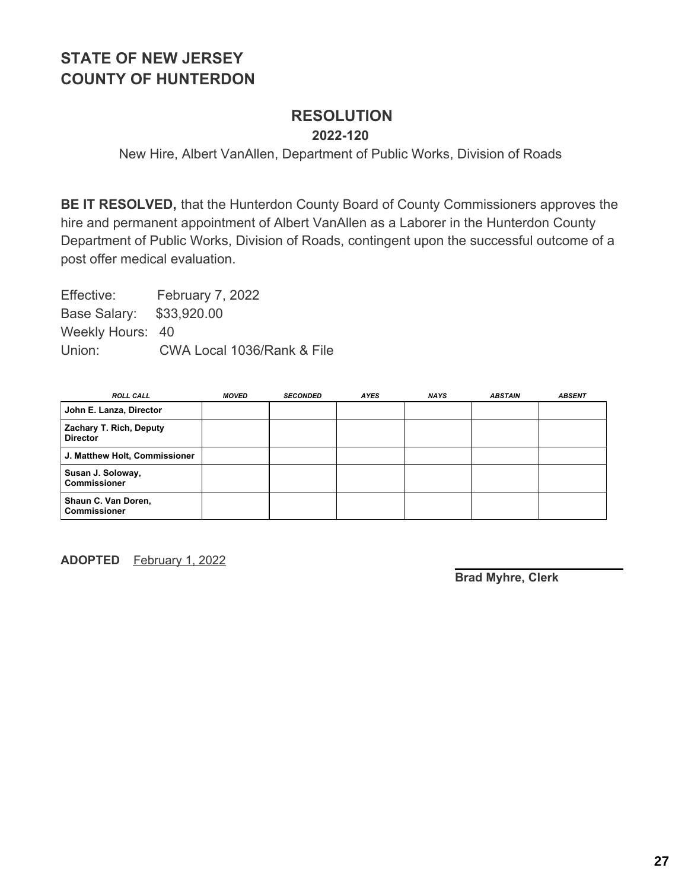## **RESOLUTION**

**2022-120**

New Hire, Albert VanAllen, Department of Public Works, Division of Roads

**BE IT RESOLVED,** that the Hunterdon County Board of County Commissioners approves the hire and permanent appointment of Albert VanAllen as a Laborer in the Hunterdon County Department of Public Works, Division of Roads, contingent upon the successful outcome of a post offer medical evaluation.

Effective: February 7, 2022 Base Salary: \$33,920.00 Weekly Hours: 40 Union: CWA Local 1036/Rank & File

| <b>ROLL CALL</b>                           | <b>MOVED</b> | <b>SECONDED</b> | <b>AYES</b> | <b>NAYS</b> | <b>ABSTAIN</b> | <b>ABSENT</b> |
|--------------------------------------------|--------------|-----------------|-------------|-------------|----------------|---------------|
| John E. Lanza, Director                    |              |                 |             |             |                |               |
| Zachary T. Rich, Deputy<br><b>Director</b> |              |                 |             |             |                |               |
| J. Matthew Holt, Commissioner              |              |                 |             |             |                |               |
| Susan J. Soloway,<br><b>Commissioner</b>   |              |                 |             |             |                |               |
| Shaun C. Van Doren,<br><b>Commissioner</b> |              |                 |             |             |                |               |

**ADOPTED** February 1, 2022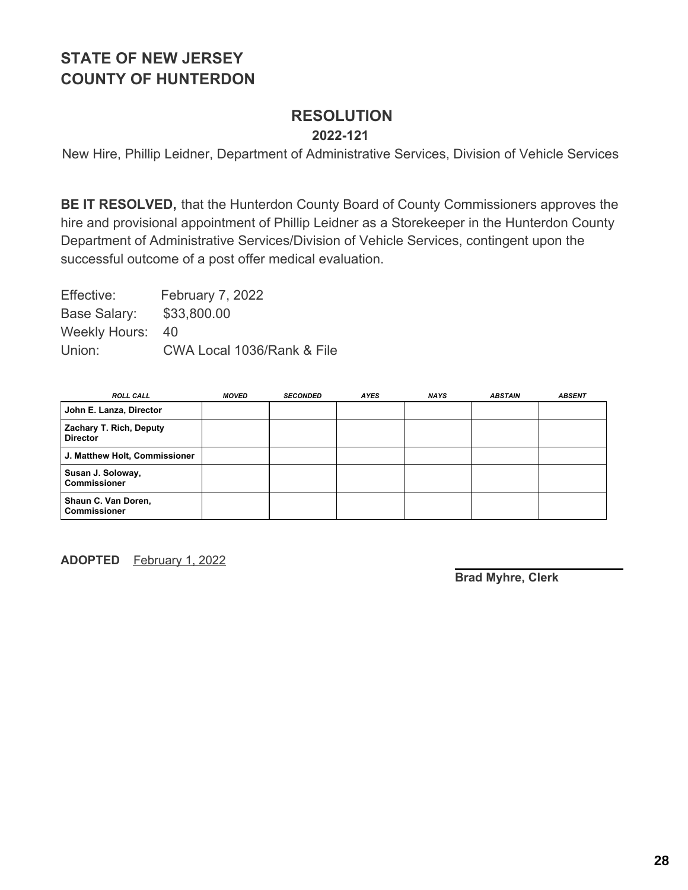## **RESOLUTION**

**2022-121**

New Hire, Phillip Leidner, Department of Administrative Services, Division of Vehicle Services

**BE IT RESOLVED,** that the Hunterdon County Board of County Commissioners approves the hire and provisional appointment of Phillip Leidner as a Storekeeper in the Hunterdon County Department of Administrative Services/Division of Vehicle Services, contingent upon the successful outcome of a post offer medical evaluation.

Effective: February 7, 2022 Base Salary: \$33,800.00 Weekly Hours: 40 Union: CWA Local 1036/Rank & File

| <b>ROLL CALL</b>                           | <b>MOVED</b> | <b>SECONDED</b> | <b>AYES</b> | <b>NAYS</b> | <b>ABSTAIN</b> | <b>ABSENT</b> |
|--------------------------------------------|--------------|-----------------|-------------|-------------|----------------|---------------|
| John E. Lanza, Director                    |              |                 |             |             |                |               |
| Zachary T. Rich, Deputy<br><b>Director</b> |              |                 |             |             |                |               |
| J. Matthew Holt, Commissioner              |              |                 |             |             |                |               |
| Susan J. Soloway,<br><b>Commissioner</b>   |              |                 |             |             |                |               |
| Shaun C. Van Doren,<br><b>Commissioner</b> |              |                 |             |             |                |               |

**ADOPTED** February 1, 2022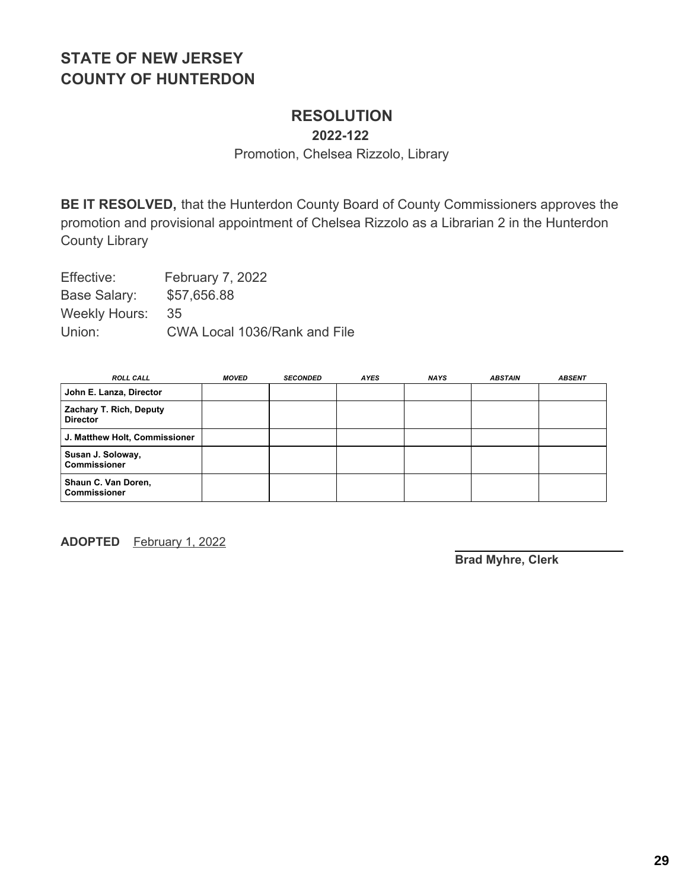### **RESOLUTION**

**2022-122**

Promotion, Chelsea Rizzolo, Library

**BE IT RESOLVED,** that the Hunterdon County Board of County Commissioners approves the promotion and provisional appointment of Chelsea Rizzolo as a Librarian 2 in the Hunterdon County Library

Effective: February 7, 2022 Base Salary: \$57,656.88 Weekly Hours: 35 Union: CWA Local 1036/Rank and File

| <b>ROLL CALL</b>                           | <i><b>MOVED</b></i> | <b>SECONDED</b> | <b>AYES</b> | <b>NAYS</b> | <b>ABSTAIN</b> | <b>ABSENT</b> |
|--------------------------------------------|---------------------|-----------------|-------------|-------------|----------------|---------------|
| John E. Lanza, Director                    |                     |                 |             |             |                |               |
| Zachary T. Rich, Deputy<br><b>Director</b> |                     |                 |             |             |                |               |
| J. Matthew Holt, Commissioner              |                     |                 |             |             |                |               |
| Susan J. Soloway,<br><b>Commissioner</b>   |                     |                 |             |             |                |               |
| Shaun C. Van Doren,<br><b>Commissioner</b> |                     |                 |             |             |                |               |

**ADOPTED** February 1, 2022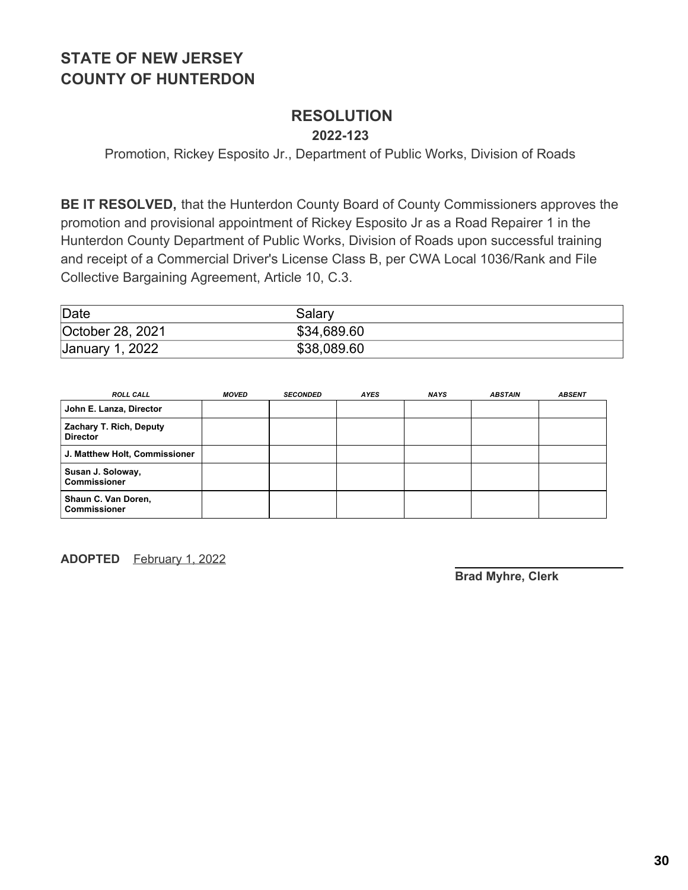### **RESOLUTION**

**2022-123**

Promotion, Rickey Esposito Jr., Department of Public Works, Division of Roads

**BE IT RESOLVED,** that the Hunterdon County Board of County Commissioners approves the promotion and provisional appointment of Rickey Esposito Jr as a Road Repairer 1 in the Hunterdon County Department of Public Works, Division of Roads upon successful training and receipt of a Commercial Driver's License Class B, per CWA Local 1036/Rank and File Collective Bargaining Agreement, Article 10, C.3.

| Date             | Salarv      |
|------------------|-------------|
| October 28, 2021 | \$34,689.60 |
| January 1, 2022  | \$38,089.60 |

| <b>ROLL CALL</b>                           | <b>MOVED</b> | <b>SECONDED</b> | AYES | NAYS | <b>ABSTAIN</b> | <b>ABSENT</b> |
|--------------------------------------------|--------------|-----------------|------|------|----------------|---------------|
| John E. Lanza, Director                    |              |                 |      |      |                |               |
| Zachary T. Rich, Deputy<br><b>Director</b> |              |                 |      |      |                |               |
| J. Matthew Holt, Commissioner              |              |                 |      |      |                |               |
| Susan J. Soloway,<br><b>Commissioner</b>   |              |                 |      |      |                |               |
| Shaun C. Van Doren,<br><b>Commissioner</b> |              |                 |      |      |                |               |

**ADOPTED** February 1, 2022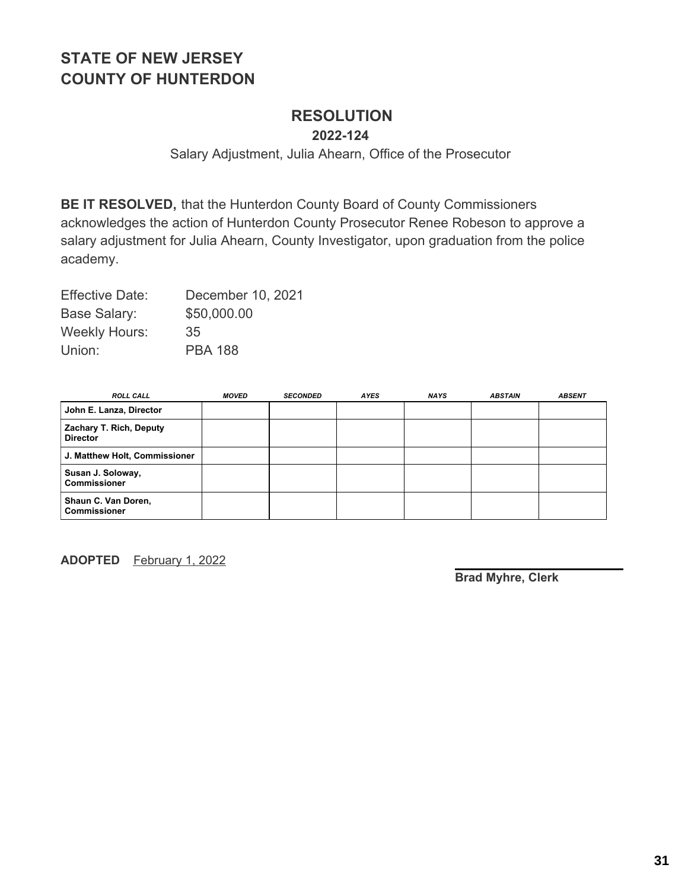### **RESOLUTION**

**2022-124**

Salary Adjustment, Julia Ahearn, Office of the Prosecutor

**BE IT RESOLVED,** that the Hunterdon County Board of County Commissioners acknowledges the action of Hunterdon County Prosecutor Renee Robeson to approve a salary adjustment for Julia Ahearn, County Investigator, upon graduation from the police academy.

Effective Date: December 10, 2021 Base Salary: \$50,000.00 Weekly Hours: 35 Union: PBA 188

| <b>ROLL CALL</b>                           | <b>MOVED</b> | <b>SECONDED</b> | <b>AYES</b> | <b>NAYS</b> | <b>ABSTAIN</b> | <b>ABSENT</b> |
|--------------------------------------------|--------------|-----------------|-------------|-------------|----------------|---------------|
| John E. Lanza, Director                    |              |                 |             |             |                |               |
| Zachary T. Rich, Deputy<br><b>Director</b> |              |                 |             |             |                |               |
| J. Matthew Holt, Commissioner              |              |                 |             |             |                |               |
| Susan J. Soloway,<br><b>Commissioner</b>   |              |                 |             |             |                |               |
| Shaun C. Van Doren,<br><b>Commissioner</b> |              |                 |             |             |                |               |

**ADOPTED** February 1, 2022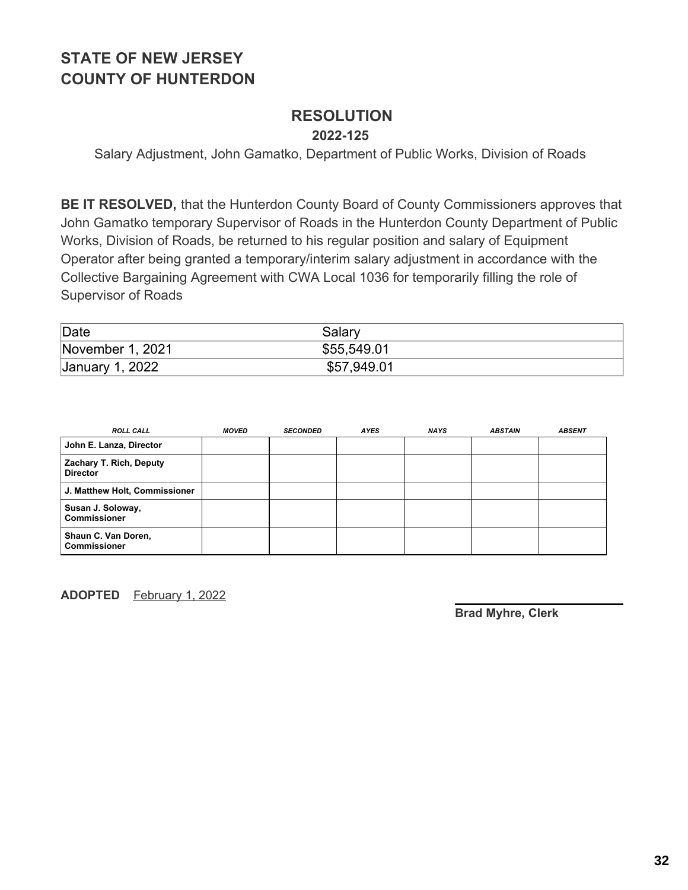## **RESOLUTION**

**2022-125**

Salary Adjustment, John Gamatko, Department of Public Works, Division of Roads

**BE IT RESOLVED,** that the Hunterdon County Board of County Commissioners approves that John Gamatko temporary Supervisor of Roads in the Hunterdon County Department of Public Works, Division of Roads, be returned to his regular position and salary of Equipment Operator after being granted a temporary/interim salary adjustment in accordance with the Collective Bargaining Agreement with CWA Local 1036 for temporarily filling the role of Supervisor of Roads

| Date             | Salary      |
|------------------|-------------|
| November 1, 2021 | \$55,549.01 |
| January 1, 2022  | \$57,949.01 |

| <b>ROLL CALL</b>                           | <b>MOVED</b> | <b>SECONDED</b> | <b>AYES</b> | <b>NAYS</b> | <b>ABSTAIN</b> | <b>ABSENT</b> |
|--------------------------------------------|--------------|-----------------|-------------|-------------|----------------|---------------|
| John E. Lanza, Director                    |              |                 |             |             |                |               |
| Zachary T. Rich, Deputy<br><b>Director</b> |              |                 |             |             |                |               |
| J. Matthew Holt, Commissioner              |              |                 |             |             |                |               |
| Susan J. Soloway,<br><b>Commissioner</b>   |              |                 |             |             |                |               |
| Shaun C. Van Doren,<br><b>Commissioner</b> |              |                 |             |             |                |               |

**ADOPTED** February 1, 2022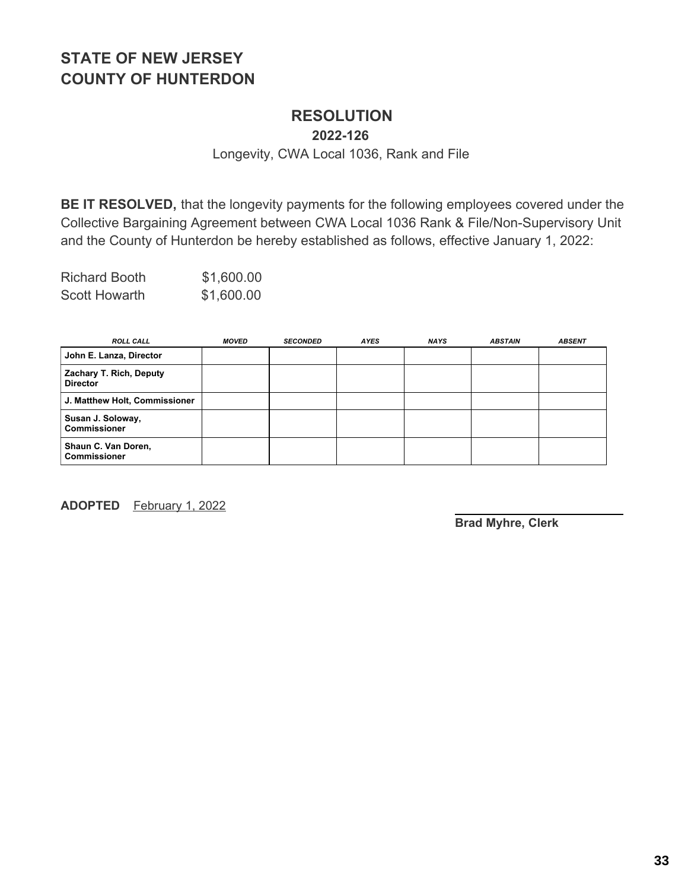### **RESOLUTION**

**2022-126**

Longevity, CWA Local 1036, Rank and File

**BE IT RESOLVED,** that the longevity payments for the following employees covered under the Collective Bargaining Agreement between CWA Local 1036 Rank & File/Non-Supervisory Unit and the County of Hunterdon be hereby established as follows, effective January 1, 2022:

| <b>Richard Booth</b> | \$1,600.00 |
|----------------------|------------|
| <b>Scott Howarth</b> | \$1,600.00 |

| <b>ROLL CALL</b>                           | <b>MOVED</b> | <b>SECONDED</b> | <b>AYES</b> | <b>NAYS</b> | <b>ABSTAIN</b> | <b>ABSENT</b> |
|--------------------------------------------|--------------|-----------------|-------------|-------------|----------------|---------------|
| John E. Lanza, Director                    |              |                 |             |             |                |               |
| Zachary T. Rich, Deputy<br><b>Director</b> |              |                 |             |             |                |               |
| J. Matthew Holt, Commissioner              |              |                 |             |             |                |               |
| Susan J. Soloway,<br><b>Commissioner</b>   |              |                 |             |             |                |               |
| Shaun C. Van Doren,<br><b>Commissioner</b> |              |                 |             |             |                |               |

**ADOPTED** February 1, 2022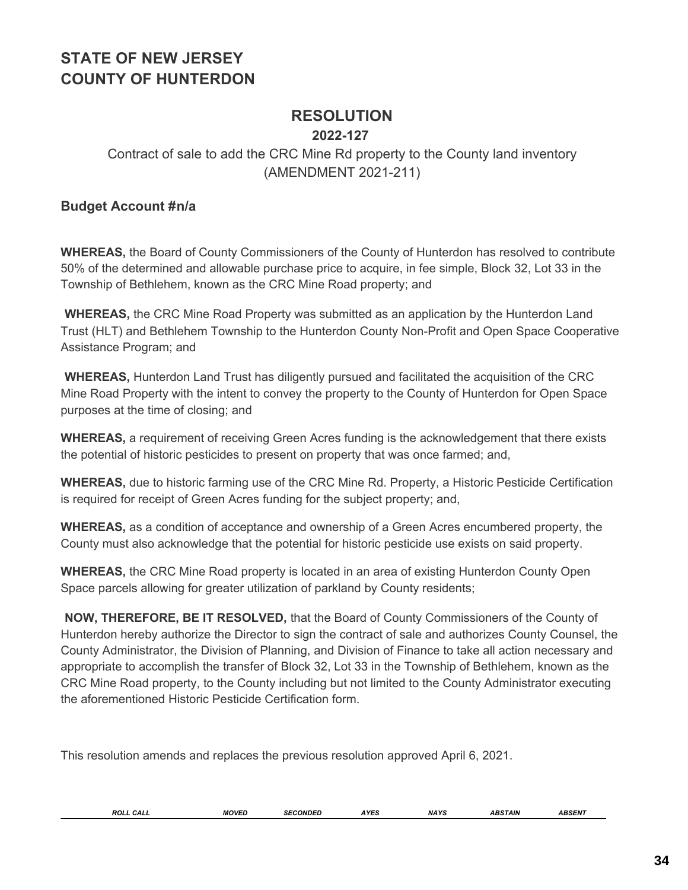### **RESOLUTION**

#### **2022-127**

### Contract of sale to add the CRC Mine Rd property to the County land inventory (AMENDMENT 2021-211)

#### **Budget Account #n/a**

**WHEREAS,** the Board of County Commissioners of the County of Hunterdon has resolved to contribute 50% of the determined and allowable purchase price to acquire, in fee simple, Block 32, Lot 33 in the Township of Bethlehem, known as the CRC Mine Road property; and

**WHEREAS,** the CRC Mine Road Property was submitted as an application by the Hunterdon Land Trust (HLT) and Bethlehem Township to the Hunterdon County Non-Profit and Open Space Cooperative Assistance Program; and

**WHEREAS,** Hunterdon Land Trust has diligently pursued and facilitated the acquisition of the CRC Mine Road Property with the intent to convey the property to the County of Hunterdon for Open Space purposes at the time of closing; and

**WHEREAS,** a requirement of receiving Green Acres funding is the acknowledgement that there exists the potential of historic pesticides to present on property that was once farmed; and,

**WHEREAS,** due to historic farming use of the CRC Mine Rd. Property, a Historic Pesticide Certification is required for receipt of Green Acres funding for the subject property; and,

**WHEREAS,** as a condition of acceptance and ownership of a Green Acres encumbered property, the County must also acknowledge that the potential for historic pesticide use exists on said property.

**WHEREAS,** the CRC Mine Road property is located in an area of existing Hunterdon County Open Space parcels allowing for greater utilization of parkland by County residents;

**NOW, THEREFORE, BE IT RESOLVED,** that the Board of County Commissioners of the County of Hunterdon hereby authorize the Director to sign the contract of sale and authorizes County Counsel, the County Administrator, the Division of Planning, and Division of Finance to take all action necessary and appropriate to accomplish the transfer of Block 32, Lot 33 in the Township of Bethlehem, known as the CRC Mine Road property, to the County including but not limited to the County Administrator executing the aforementioned Historic Pesticide Certification form.

This resolution amends and replaces the previous resolution approved April 6, 2021.

| CALL<br>ROLL | <b>MOVEF</b> | ONDED<br>אני<br>- -<br>$\begin{array}{ccc} \multicolumn{3}{c}{} & \multicolumn{3}{c}{} & \multicolumn{3}{c}{} & \multicolumn{3}{c}{} & \multicolumn{3}{c}{} & \multicolumn{3}{c}{} & \multicolumn{3}{c}{} & \multicolumn{3}{c}{} & \multicolumn{3}{c}{} & \multicolumn{3}{c}{} & \multicolumn{3}{c}{} & \multicolumn{3}{c}{} & \multicolumn{3}{c}{} & \multicolumn{3}{c}{} & \multicolumn{3}{c}{} & \multicolumn{3}{c}{} & \multicolumn{3}{c}{} & \multicolumn{3}{c}{} & \multicolumn{3}{c}{} & \multicolumn$ | $\cdots$<br>ט בו ד | <b>NAYS</b> | <b>BSTAIN</b> | $500 - 17$<br>SEN |
|--------------|--------------|---------------------------------------------------------------------------------------------------------------------------------------------------------------------------------------------------------------------------------------------------------------------------------------------------------------------------------------------------------------------------------------------------------------------------------------------------------------------------------------------------------------|--------------------|-------------|---------------|-------------------|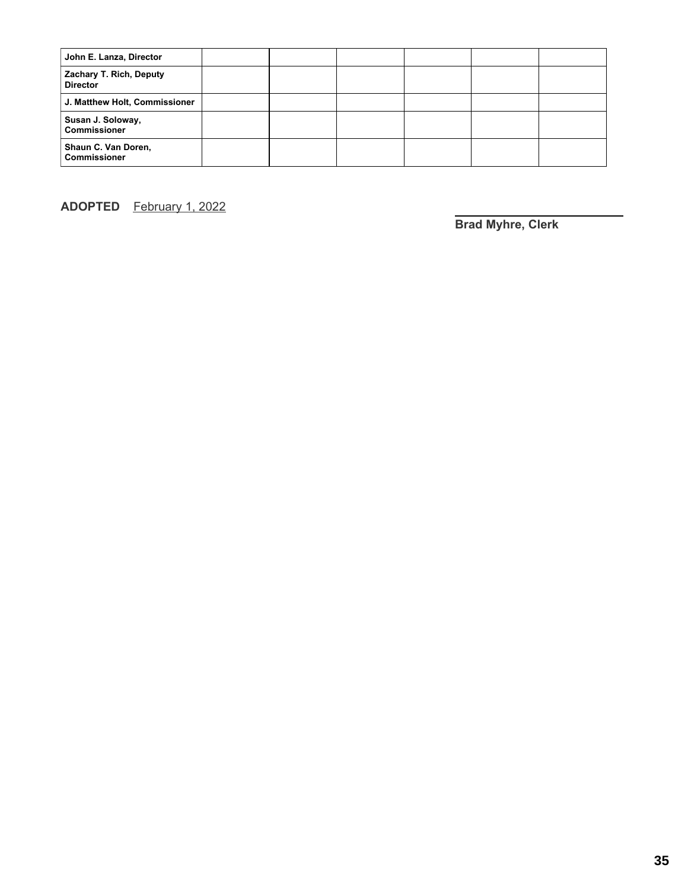| John E. Lanza, Director                    |  |  |  |
|--------------------------------------------|--|--|--|
| Zachary T. Rich, Deputy<br><b>Director</b> |  |  |  |
| J. Matthew Holt, Commissioner              |  |  |  |
| Susan J. Soloway,<br><b>Commissioner</b>   |  |  |  |
| Shaun C. Van Doren,<br><b>Commissioner</b> |  |  |  |

**ADOPTED** February 1, 2022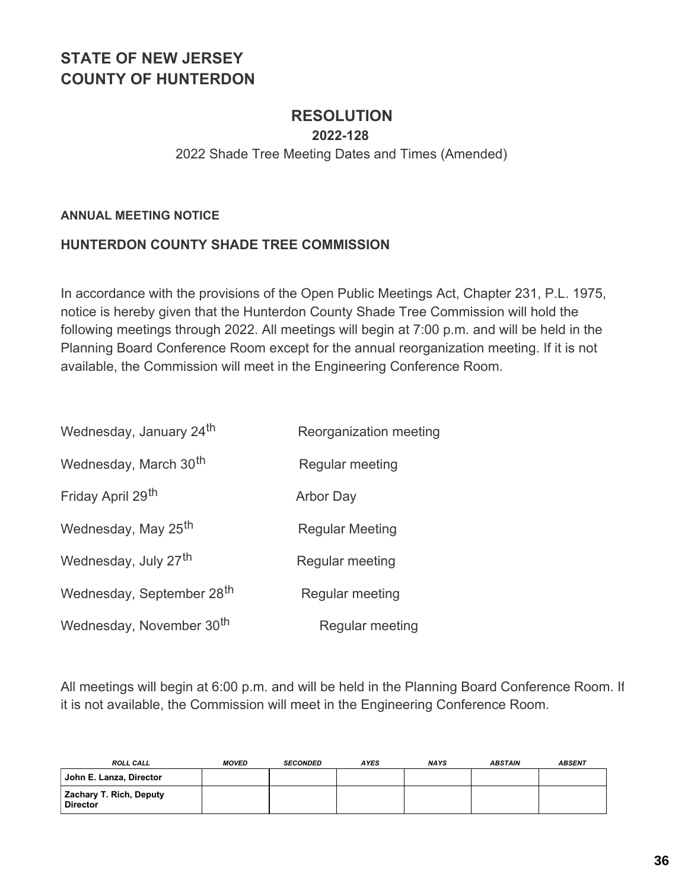### **RESOLUTION**

**2022-128**

#### 2022 Shade Tree Meeting Dates and Times (Amended)

#### **ANNUAL MEETING NOTICE**

#### **HUNTERDON COUNTY SHADE TREE COMMISSION**

In accordance with the provisions of the Open Public Meetings Act, Chapter 231, P.L. 1975, notice is hereby given that the Hunterdon County Shade Tree Commission will hold the following meetings through 2022. All meetings will begin at 7:00 p.m. and will be held in the Planning Board Conference Room except for the annual reorganization meeting. If it is not available, the Commission will meet in the Engineering Conference Room.

| Wednesday, January 24 <sup>th</sup>   | Reorganization meeting |
|---------------------------------------|------------------------|
| Wednesday, March 30 <sup>th</sup>     | Regular meeting        |
| Friday April 29 <sup>th</sup>         | <b>Arbor Day</b>       |
| Wednesday, May 25 <sup>th</sup>       | <b>Regular Meeting</b> |
| Wednesday, July 27 <sup>th</sup>      | Regular meeting        |
| Wednesday, September 28 <sup>th</sup> | Regular meeting        |
| Wednesday, November 30 <sup>th</sup>  | Regular meeting        |

All meetings will begin at 6:00 p.m. and will be held in the Planning Board Conference Room. If it is not available, the Commission will meet in the Engineering Conference Room.

| <b>ROLL CALL</b>                           | <b>MOVED</b> | <b>SECONDED</b> | <b>AYES</b> | <b>NAYS</b> | <b>ABSTAIN</b> | <b>ABSENT</b> |
|--------------------------------------------|--------------|-----------------|-------------|-------------|----------------|---------------|
| John E. Lanza, Director                    |              |                 |             |             |                |               |
| Zachary T. Rich, Deputy<br><b>Director</b> |              |                 |             |             |                |               |